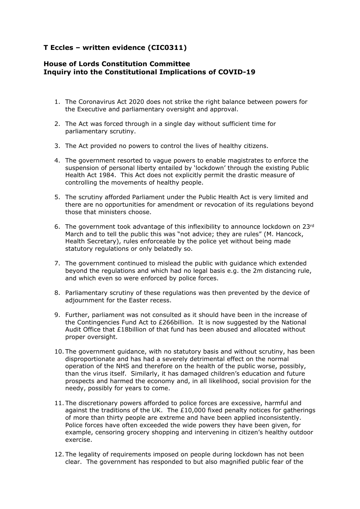## **T Eccles – written evidence (CIC0311)**

## **House of Lords Constitution Committee Inquiry into the Constitutional Implications of COVID-19**

- 1. The Coronavirus Act 2020 does not strike the right balance between powers for the Executive and parliamentary oversight and approval.
- 2. The Act was forced through in a single day without sufficient time for parliamentary scrutiny.
- 3. The Act provided no powers to control the lives of healthy citizens.
- 4. The government resorted to vague powers to enable magistrates to enforce the suspension of personal liberty entailed by 'lockdown' through the existing Public Health Act 1984. This Act does not explicitly permit the drastic measure of controlling the movements of healthy people.
- 5. The scrutiny afforded Parliament under the Public Health Act is very limited and there are no opportunities for amendment or revocation of its regulations beyond those that ministers choose.
- 6. The government took advantage of this inflexibility to announce lockdown on 23rd March and to tell the public this was "not advice; they are rules" (M. Hancock, Health Secretary), rules enforceable by the police yet without being made statutory regulations or only belatedly so.
- 7. The government continued to mislead the public with guidance which extended beyond the regulations and which had no legal basis e.g. the 2m distancing rule, and which even so were enforced by police forces.
- 8. Parliamentary scrutiny of these regulations was then prevented by the device of adjournment for the Easter recess.
- 9. Further, parliament was not consulted as it should have been in the increase of the Contingencies Fund Act to £266billion. It is now suggested by the National Audit Office that £18billion of that fund has been abused and allocated without proper oversight.
- 10. The government guidance, with no statutory basis and without scrutiny, has been disproportionate and has had a severely detrimental effect on the normal operation of the NHS and therefore on the health of the public worse, possibly, than the virus itself. Similarly, it has damaged children's education and future prospects and harmed the economy and, in all likelihood, social provision for the needy, possibly for years to come.
- 11. The discretionary powers afforded to police forces are excessive, harmful and against the traditions of the UK. The  $£10,000$  fixed penalty notices for gatherings of more than thirty people are extreme and have been applied inconsistently. Police forces have often exceeded the wide powers they have been given, for example, censoring grocery shopping and intervening in citizen's healthy outdoor exercise.
- 12. The legality of requirements imposed on people during lockdown has not been clear. The government has responded to but also magnified public fear of the